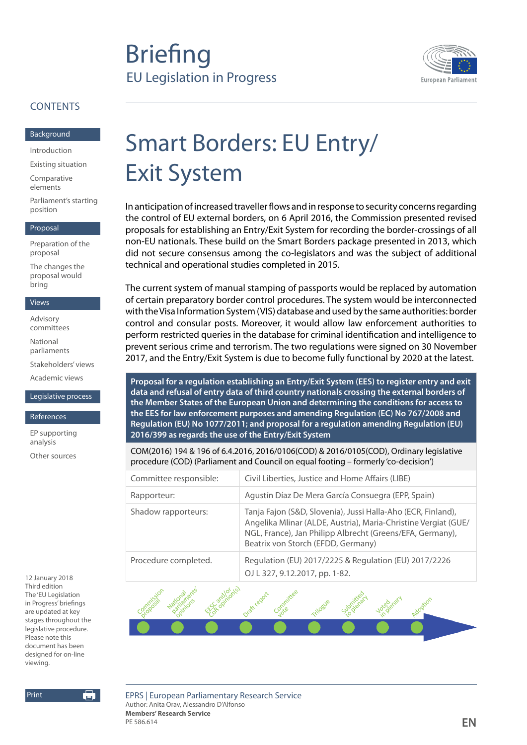# **Briefing** EU Legislation in Progress



## **CONTENTS**

#### [Background](#page-1-0)

[Introduction](#page-1-0)

[Existing situation](#page-1-0)

[Comparative](#page-3-0)  [elements](#page-3-0)

[Parliament's starting](#page-3-0)  [position](#page-3-0)

#### [Proposal](#page-4-0)

[Preparation of the](#page-4-0)  [proposal](#page-4-0)

[The changes the](#page-5-0)  [proposal would](#page-5-0)  [bring](#page-5-0)

#### [Views](#page-6-0)

[Advisory](#page-6-0)  [committees](#page-6-0)

[National](#page-6-0)  [parliaments](#page-6-0)

[Stakeholders' views](#page-6-0)

[Academic views](#page-8-0)

#### [Legislative process](#page-9-0)

[References](#page-10-0)

[EP supporting](#page-10-0)  [analysis](#page-10-0)

[Other sources](#page-10-0)

12 January 2018 Third edition The 'EU Legislation in Progress' briefings are updated at key stages throughout the legislative procedure. Please note this document has been designed for on-line viewing.

第

Print

Smart Borders: EU Entry/ Exit System

In anticipation of increased traveller flows and in response to security concerns regarding the control of EU external borders, on 6 April 2016, the Commission presented revised proposals for establishing an Entry/Exit System for recording the border-crossings of all non-EU nationals. These build on the Smart Borders package presented in 2013, which did not secure consensus among the co-legislators and was the subject of additional technical and operational studies completed in 2015.

The current system of manual stamping of passports would be replaced by automation of certain preparatory border control procedures. The system would be interconnected with the Visa Information System (VIS) database and used by the same authorities: border control and consular posts. Moreover, it would allow law enforcement authorities to perform restricted queries in the database for criminal identification and intelligence to prevent serious crime and terrorism. The two regulations were signed on 30 November 2017, and the Entry/Exit System is due to become fully functional by 2020 at the latest.

**Proposal for a regulation establishing an Entry/Exit System (EES) to register entry and exit data and refusal of entry data of third country nationals crossing the external borders of the Member States of the European Union and determining the conditions for access to the EES for law enforcement purposes and amending Regulation (EC) No 767/2008 and Regulation (EU) No 1077/2011; and proposal for a regulation amending Regulation (EU) 2016/399 as regards the use of the Entry/Exit System**

COM(2016) 194 & 196 of 6.4.2016, 2016/0106(COD) & 2016/0105(COD), Ordinary legislative procedure (COD) (Parliament and Council on equal footing – formerly 'co-decision')

| Committee responsible: | Civil Liberties, Justice and Home Affairs (LIBE)                                                                                                                                                                                  |
|------------------------|-----------------------------------------------------------------------------------------------------------------------------------------------------------------------------------------------------------------------------------|
| Rapporteur:            | Agustín Díaz De Mera García Consuegra (EPP, Spain)                                                                                                                                                                                |
| Shadow rapporteurs:    | Tanja Fajon (S&D, Slovenia), Jussi Halla-Aho (ECR, Finland),<br>Angelika Mlinar (ALDE, Austria), Maria-Christine Vergiat (GUE/<br>NGL, France), Jan Philipp Albrecht (Greens/EFA, Germany),<br>Beatrix von Storch (EFDD, Germany) |
| Procedure completed.   | Regulation (EU) 2017/2225 & Regulation (EU) 2017/2226<br>OJ L 327, 9.12.2017, pp. 1-82.                                                                                                                                           |



EPRS | European Parliamentary Research Service Author: Anita Orav, Alessandro D'Alfonso **Members' Research Service**  PE 586.614 **EN**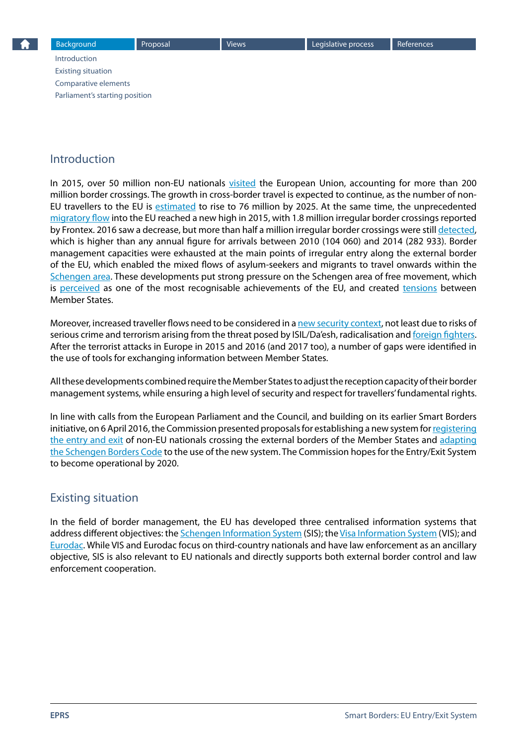<span id="page-1-0"></span>Introduction Existing situation [Comparative elements](#page-3-0) [Parliament's starting position](#page-3-0)

## Introduction

In 2015, over 50 million non-EU nationals [visited](http://www.eulisa.europa.eu/Newsroom/News/Documents/SB-EES/communication_on_stronger_and_smart_borders_20160406_en.pdf) the European Union, accounting for more than 200 million border crossings. The growth in cross-border travel is expected to continue, as the number of nonEU travellers to the EU is [estimated](https://ec.europa.eu/home-affairs/sites/homeaffairs/files/what-we-do/policies/borders-and-visas/smart-borders/docs/smart_borders_executive_summary_en.pdf) to rise to 76 million by 2025. At the same time, the unprecedented [migratory flow](http://www.europarl.europa.eu/RegData/etudes/ATAG/2017/595918/EPRS_ATA%282017%29595918_EN.pdf) into the EU reached a new high in 2015, with 1.8 million irregular border crossings reported by Frontex. 2016 saw a decrease, but more than half a million irregular border crossings were still [detected](http://frontex.europa.eu/news/frontex-publishes-risk-analysis-for-2017-CpJiC8), which is higher than any annual figure for arrivals between 2010 (104 060) and 2014 (282 933). Border management capacities were exhausted at the main points of irregular entry along the external border of the EU, which enabled the mixed flows of asylum-seekers and migrants to travel onwards within the [Schengen area.](http://ec.europa.eu/dgs/home-affairs/what-we-do/policies/borders-and-visas/schengen/index_en.htm) These developments put strong pressure on the Schengen area of free movement, which is [perceived](http://www.europarl.europa.eu/RegData/etudes/STUD/2015/570419/EPRS_STU%282015%29570419_EN.pdf) as one of the most recognisable achievements of the EU, and created [tensions](https://eu.boell.org/en/2015/09/03/eu-migration-dilemma) between Member States.

Moreover, increased traveller flows need to be considered in a [new security context,](http://www.europarl.europa.eu/RegData/etudes/BRIE/2016/583826/EPRS_BRI%282016%29583826_EN.pdf) not least due to risks of serious crime and terrorism arising from the threat posed by ISIL/Da'esh, radicalisation and [foreign fighters](http://www.europarl.europa.eu/RegData/etudes/BRIE/2016/579080/EPRS_BRI%282016%29579080_EN.pdf). After the terrorist attacks in Europe in 2015 and 2016 (and 2017 too), a number of gaps were identified in the use of tools for exchanging information between Member States.

All these developments combined require the Member States to adjust the reception capacity of their border management systems, while ensuring a high level of security and respect for travellers' fundamental rights.

In line with calls from the European Parliament and the Council, and building on its earlier Smart Borders initiative, on 6 April 2016, the Commission presented proposals for establishing a new system for registering [the entry and exit](http://eur-lex.europa.eu/legal-content/EN/TXT/?uri=CELEX%3A52016PC0194) of non-EU nationals crossing the external borders of the Member States and adapting [the Schengen Borders Code](http://eur-lex.europa.eu/legal-content/EN/ALL/?uri=COM%3A2016%3A0196%3AFIN) to the use of the new system. The Commission hopes for the Entry/Exit System to become operational by 2020.

## Existing situation

In the field of border management, the EU has developed three centralised information systems that address different objectives: the [Schengen Information System](http://ec.europa.eu/dgs/home-affairs/what-we-do/policies/borders-and-visas/schengen-information-system/index_en.htm) (SIS); the [Visa Information System](http://ec.europa.eu/dgs/home-affairs/what-we-do/policies/borders-and-visas/visa-information-system/index_en.htm) (VIS); and [Eurodac.](http://ec.europa.eu/dgs/home-affairs/what-we-do/policies/asylum/identification-of-applicants/index_en.htm) While VIS and Eurodac focus on third-country nationals and have law enforcement as an ancillary objective, SIS is also relevant to EU nationals and directly supports both external border control and law enforcement cooperation.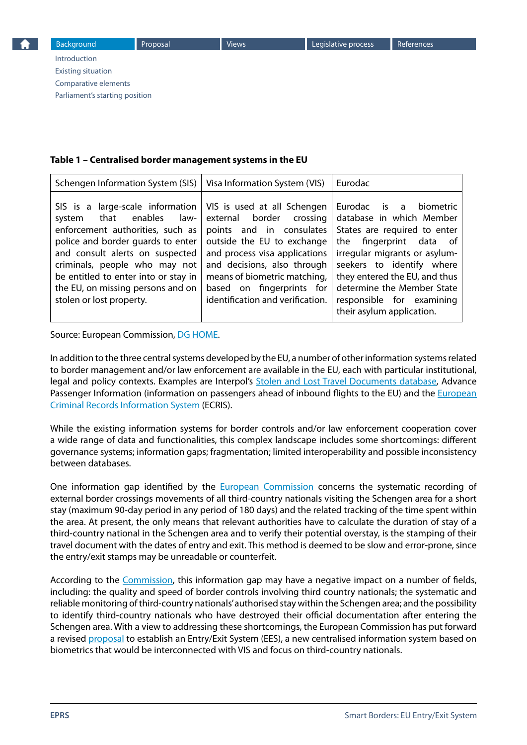[Introduction](#page-1-0) [Existing situation](#page-1-0) [Comparative elements](#page-3-0) [Parliament's starting position](#page-3-0)

#### **Table 1 – Centralised border management systems in the EU**

| Schengen Information System (SIS)                                                                                                                                                                                                                                                                                                                           | Visa Information System (VIS)                                                                                                                                                                                                                       | Eurodac                                                                                                                                                                                                                                                                                                 |
|-------------------------------------------------------------------------------------------------------------------------------------------------------------------------------------------------------------------------------------------------------------------------------------------------------------------------------------------------------------|-----------------------------------------------------------------------------------------------------------------------------------------------------------------------------------------------------------------------------------------------------|---------------------------------------------------------------------------------------------------------------------------------------------------------------------------------------------------------------------------------------------------------------------------------------------------------|
| SIS is a large-scale information   VIS is used at all Schengen  <br>enables<br>law-<br>that<br>system<br>enforcement authorities, such as<br>police and border guards to enter<br>and consult alerts on suspected<br>criminals, people who may not<br>be entitled to enter into or stay in<br>the EU, on missing persons and on<br>stolen or lost property. | external border crossing<br>points and in consulates<br>outside the EU to exchange<br>and process visa applications<br>and decisions, also through<br>means of biometric matching,<br>based on fingerprints for<br>identification and verification. | Eurodac is a<br>biometric<br>database in which Member<br>States are required to enter<br>the fingerprint data of<br>irregular migrants or asylum-<br>seekers to identify where<br>they entered the EU, and thus<br>determine the Member State<br>responsible for examining<br>their asylum application. |

#### Source: European Commission, [DG HOME](http://ec.europa.eu/dgs/home-affairs/what-we-do/policies/borders-and-visas/index_en.htm).

In addition to the three central systems developed by the EU, a number of other information systems related to border management and/or law enforcement are available in the EU, each with particular institutional, legal and policy contexts. Examples are Interpol's [Stolen and Lost Travel Documents database](http://www.interpol.int/INTERPOL-expertise/Border-management/SLTD-Database), Advance Passenger Information (information on passengers ahead of inbound flights to the EU) and the European [Criminal Records Information System](http://ec.europa.eu/justice/criminal/european-e-justice/ecris/index_en.htm) (ECRIS).

While the existing information systems for border controls and/or law enforcement cooperation cover a wide range of data and functionalities, this complex landscape includes some shortcomings: different governance systems; information gaps; fragmentation; limited interoperability and possible inconsistency between databases.

One information gap identified by the **[European Commission](http://eur-lex.europa.eu/legal-content/EN/TXT/?qid=1466095686048&uri=CELEX:52016DC0205)** concerns the systematic recording of external border crossings movements of all third-country nationals visiting the Schengen area for a short stay (maximum 90-day period in any period of 180 days) and the related tracking of the time spent within the area. At present, the only means that relevant authorities have to calculate the duration of stay of a third-country national in the Schengen area and to verify their potential overstay, is the stamping of their travel document with the dates of entry and exit. This method is deemed to be slow and error-prone, since the entry/exit stamps may be unreadable or counterfeit.

According to the [Commission](http://bit.ly/29yDrhX), this information gap may have a negative impact on a number of fields, including: the quality and speed of border controls involving third country nationals; the systematic and reliable monitoring of third-country nationals' authorised stay within the Schengen area; and the possibility to identify third-country nationals who have destroyed their official documentation after entering the Schengen area. With a view to addressing these shortcomings, the European Commission has put forward a revised [proposal](http://eur-lex.europa.eu/legal-content/EN/TXT/?qid=1466095003642&uri=CELEX:52016PC0194) to establish an Entry/Exit System (EES), a new centralised information system based on biometrics that would be interconnected with VIS and focus on third-country nationals.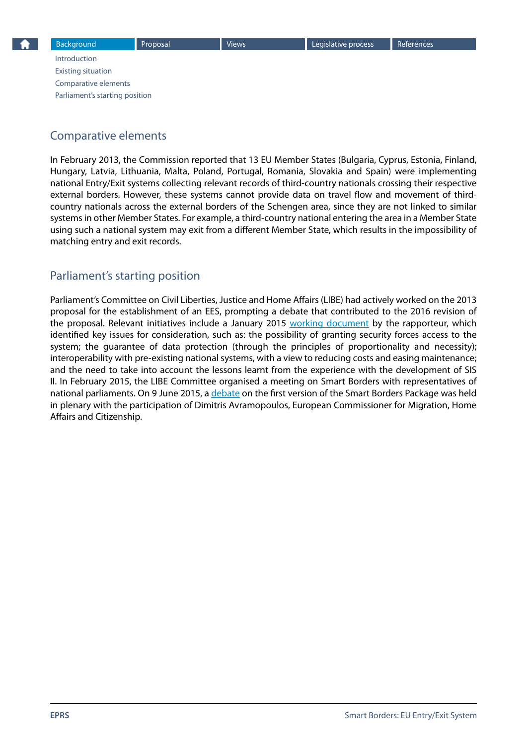<span id="page-3-0"></span>[Introduction](#page-1-0) [Existing situation](#page-1-0) Comparative elements Parliament's starting position

## Comparative elements

In February 2013, the Commission reported that 13 EU Member States (Bulgaria, Cyprus, Estonia, Finland, Hungary, Latvia, Lithuania, Malta, Poland, Portugal, Romania, Slovakia and Spain) were implementing national Entry/Exit systems collecting relevant records of third-country nationals crossing their respective external borders. However, these systems cannot provide data on travel flow and movement of thirdcountry nationals across the external borders of the Schengen area, since they are not linked to similar systems in other Member States. For example, a third-country national entering the area in a Member State using such a national system may exit from a different Member State, which results in the impossibility of matching entry and exit records.

## Parliament's starting position

Parliament's Committee on Civil Liberties, Justice and Home Affairs (LIBE) had actively worked on the 2013 proposal for the establishment of an EES, prompting a debate that contributed to the 2016 revision of the proposal. Relevant initiatives include a January 2015 [working document](http://www.europarl.europa.eu/meetdocs/2014_2019/documents/libe/dt/1044/1044352/1044352en.pdf) by the rapporteur, which identified key issues for consideration, such as: the possibility of granting security forces access to the system; the guarantee of data protection (through the principles of proportionality and necessity); interoperability with pre-existing national systems, with a view to reducing costs and easing maintenance; and the need to take into account the lessons learnt from the experience with the development of SIS II. In February 2015, the LIBE Committee organised a meeting on Smart Borders with representatives of national parliaments. On 9 June 2015, a [debate](http://www.europarl.europa.eu/sides/getDoc.do?pubRef=-//EP//TEXT+CRE+20150609+ITEM-012+DOC+XML+V0//EN) on the first version of the Smart Borders Package was held in plenary with the participation of Dimitris Avramopoulos, European Commissioner for Migration, Home Affairs and Citizenship.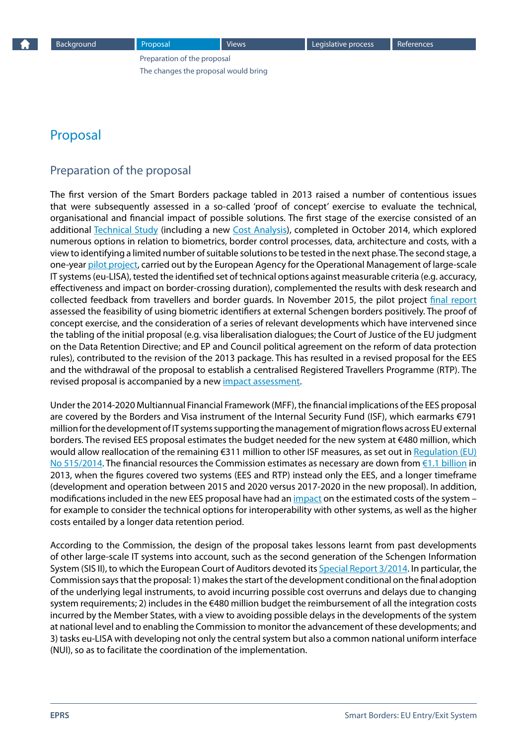Preparation of the proposal [The changes the proposal would bring](#page-5-0)

## <span id="page-4-0"></span>Proposal

#### Preparation of the proposal

The first version of the Smart Borders package tabled in 2013 raised a number of contentious issues that were subsequently assessed in a so-called 'proof of concept' exercise to evaluate the technical, organisational and financial impact of possible solutions. The first stage of the exercise consisted of an additional [Technical Study](http://ec.europa.eu/dgs/home-affairs/what-we-do/policies/borders-and-visas/smart-borders/docs/smart_borders_technical_study_en.pdf) (including a new [Cost Analysis\)](http://ec.europa.eu/dgs/home-affairs/what-we-do/policies/borders-and-visas/smart-borders/docs/smart_borders_costs_study_en.pdf), completed in October 2014, which explored numerous options in relation to biometrics, border control processes, data, architecture and costs, with a view to identifying a limited number of suitable solutions to be tested in the next phase. The second stage, a one-year [pilot project](http://www.eulisa.europa.eu/AboutUs/SmartBorders/Pages/default.aspx), carried out by the European Agency for the Operational Management of large-scale IT systems (eu-LISA), tested the identified set of technical options against measurable criteria (e.g. accuracy, effectiveness and impact on border-crossing duration), complemented the results with desk research and collected feedback from travellers and border guards. In November 2015, the pilot project [final report](http://www.eulisa.europa.eu/Publications/Reports/Smart Borders - Technical Report.pdf) assessed the feasibility of using biometric identifiers at external Schengen borders positively. The proof of concept exercise, and the consideration of a series of relevant developments which have intervened since the tabling of the initial proposal (e.g. visa liberalisation dialogues; the Court of Justice of the EU judgment on the Data Retention Directive; and EP and Council political agreement on the reform of data protection rules), contributed to the revision of the 2013 package. This has resulted in a revised proposal for the EES and the withdrawal of the proposal to establish a centralised Registered Travellers Programme (RTP). The revised proposal is accompanied by a new impact assessment.

Under the 2014-2020 Multiannual Financial Framework (MFF), the financial implications of the EES proposal are covered by the Borders and Visa instrument of the Internal Security Fund (ISF), which earmarks €791 million for the development of IT systems supporting the management of migration flows across EU external borders. The revised EES proposal estimates the budget needed for the new system at €480 million, which would allow reallocation of the remaining €311 million to other ISF measures, as set out in Regulation (EU) [No 515/2014.](http://eur-lex.europa.eu/legal-content/EN/TXT/?qid=1450782789987&uri=CELEX:32014R0515) The financial resources the Commission estimates as necessary are down from [€1.1 billion](http://europa.eu/rapid/press-release_MEMO-13-141_en.htm) in 2013, when the figures covered two systems (EES and RTP) instead only the EES, and a longer timeframe (development and operation between 2015 and 2020 versus 2017-2020 in the new proposal). In addition, modifications included in the new EES proposal have had an [impact](http://ec.europa.eu/dgs/home-affairs/what-we-do/policies/securing-eu-borders/legal-documents/docs/20160406/smart_borders_package_-_20160406_-_impact_assessment_-_part_2_en.pdf#page=67) on the estimated costs of the system – for example to consider the technical options for interoperability with other systems, as well as the higher costs entailed by a longer data retention period.

According to the Commission, the design of the proposal takes lessons learnt from past developments of other large-scale IT systems into account, such as the second generation of the Schengen Information System (SIS II), to which the European Court of Auditors devoted its [Special Report 3/2014](http://www.eca.europa.eu/Lists/ECADocuments/SR14_03/SR14_03_EN.pdf). In particular, the Commission says that the proposal: 1) makes the start of the development conditional on the final adoption of the underlying legal instruments, to avoid incurring possible cost overruns and delays due to changing system requirements; 2) includes in the €480 million budget the reimbursement of all the integration costs incurred by the Member States, with a view to avoiding possible delays in the developments of the system at national level and to enabling the Commission to monitor the advancement of these developments; and 3) tasks eu-LISA with developing not only the central system but also a common national uniform interface (NUI), so as to facilitate the coordination of the implementation.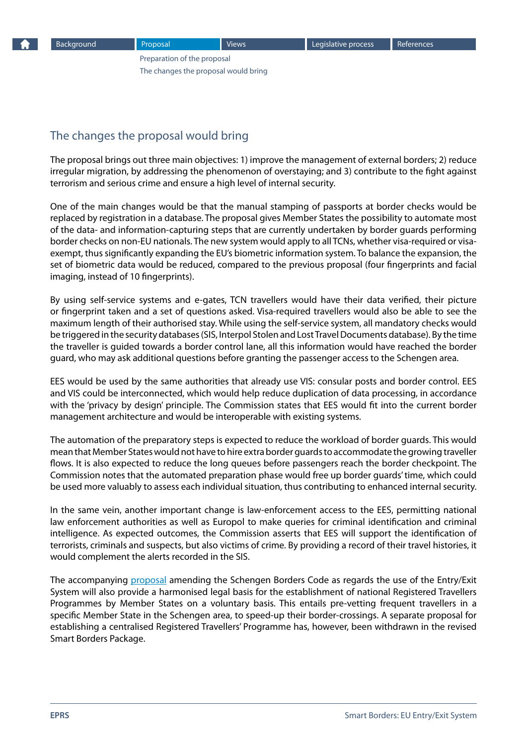[Preparation of the proposal](#page-4-0) The changes the proposal would bring

## <span id="page-5-0"></span>The changes the proposal would bring

The proposal brings out three main objectives: 1) improve the management of external borders; 2) reduce irregular migration, by addressing the phenomenon of overstaying; and 3) contribute to the fight against terrorism and serious crime and ensure a high level of internal security.

One of the main changes would be that the manual stamping of passports at border checks would be replaced by registration in a database. The proposal gives Member States the possibility to automate most of the data- and information-capturing steps that are currently undertaken by border guards performing border checks on non-EU nationals. The new system would apply to all TCNs, whether visa-required or visaexempt, thus significantly expanding the EU's biometric information system. To balance the expansion, the set of biometric data would be reduced, compared to the previous proposal (four fingerprints and facial imaging, instead of 10 fingerprints).

By using self-service systems and e-gates, TCN travellers would have their data verified, their picture or fingerprint taken and a set of questions asked. Visa-required travellers would also be able to see the maximum length of their authorised stay. While using the self-service system, all mandatory checks would be triggered in the security databases (SIS, Interpol Stolen and Lost Travel Documents database). By the time the traveller is guided towards a border control lane, all this information would have reached the border guard, who may ask additional questions before granting the passenger access to the Schengen area.

EES would be used by the same authorities that already use VIS: consular posts and border control. EES and VIS could be interconnected, which would help reduce duplication of data processing, in accordance with the 'privacy by design' principle. The Commission states that EES would fit into the current border management architecture and would be interoperable with existing systems.

The automation of the preparatory steps is expected to reduce the workload of border guards. This would mean that Member States would not have to hire extra border guards to accommodate the growing traveller flows. It is also expected to reduce the long queues before passengers reach the border checkpoint. The Commission notes that the automated preparation phase would free up border guards' time, which could be used more valuably to assess each individual situation, thus contributing to enhanced internal security.

In the same vein, another important change is law-enforcement access to the EES, permitting national law enforcement authorities as well as Europol to make queries for criminal identification and criminal intelligence. As expected outcomes, the Commission asserts that EES will support the identification of terrorists, criminals and suspects, but also victims of crime. By providing a record of their travel histories, it would complement the alerts recorded in the SIS.

The accompanying [proposal](http://ec.europa.eu/dgs/home-affairs/what-we-do/policies/securing-eu-borders/legal-documents/docs/20160406/regulation_proposal_entryexit_system_en.pdf) amending the Schengen Borders Code as regards the use of the Entry/Exit System will also provide a harmonised legal basis for the establishment of national Registered Travellers Programmes by Member States on a voluntary basis. This entails pre-vetting frequent travellers in a specific Member State in the Schengen area, to speed-up their border-crossings. A separate proposal for establishing a centralised Registered Travellers' Programme has, however, been withdrawn in the revised Smart Borders Package.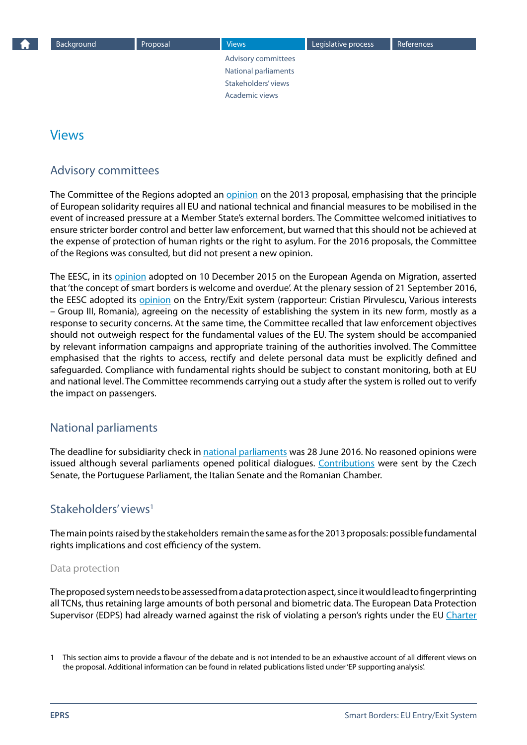Advisory committees National parliaments Stakeholders' views [Academic views](#page-8-0)

## <span id="page-6-0"></span>Views

## Advisory committees

The Committee of the Regions adopted an [opinion](http://eur-lex.europa.eu/legal-content/EN/TXT/?uri=CELEX%3A52013AR3534) on the 2013 proposal, emphasising that the principle of European solidarity requires all EU and national technical and financial measures to be mobilised in the event of increased pressure at a Member State's external borders. The Committee welcomed initiatives to ensure stricter border control and better law enforcement, but warned that this should not be achieved at the expense of protection of human rights or the right to asylum. For the 2016 proposals, the Committee of the Regions was consulted, but did not present a new opinion.

The EESC, in its [opinion](http://eur-lex.europa.eu/legal-content/EN/TXT/?uri=CELEX%3A52015AE4319) adopted on 10 December 2015 on the European Agenda on Migration, asserted that 'the concept of smart borders is welcome and overdue'. At the plenary session of 21 September 2016, the EESC adopted its [opinion](http://www.eesc.europa.eu/?i=portal.en.soc-opinions.39261) on the Entry/Exit system (rapporteur: Cristian Pîrvulescu, Various interests – Group III, Romania), agreeing on the necessity of establishing the system in its new form, mostly as a response to security concerns. At the same time, the Committee recalled that law enforcement objectives should not outweigh respect for the fundamental values of the EU. The system should be accompanied by relevant information campaigns and appropriate training of the authorities involved. The Committee emphasised that the rights to access, rectify and delete personal data must be explicitly defined and safeguarded. Compliance with fundamental rights should be subject to constant monitoring, both at EU and national level. The Committee recommends carrying out a study after the system is rolled out to verify the impact on passengers.

#### National parliaments

The deadline for subsidiarity check in [national parliaments](http://www.ipex.eu/IPEXL-WEB/dossier/document/COM20160194.do) was 28 June 2016. No reasoned opinions were issued although several parliaments opened political dialogues. [Contributions](http://www.connect.ep.parl.union.eu/parnaweb/cms/Subsidiarity_1/2016_proposals_1/#194) were sent by the Czech Senate, the Portuguese Parliament, the Italian Senate and the Romanian Chamber.

#### Stakeholders' views<sup>1</sup>

The main points raised by the stakeholders remain the same as for the 2013 proposals: possible fundamental rights implications and cost efficiency of the system.

#### Data protection

The proposed system needs to be assessed from a data protection aspect, since it would lead to fingerprinting all TCNs, thus retaining large amounts of both personal and biometric data. The European Data Protection Supervisor (EDPS) had already warned against the risk of violating a person's rights under the EU [Charter](http://eur-lex.europa.eu/LexUriServ/LexUriServ.do?uri=OJ:C:2010:083:0389:0403:en:PDF) 

<sup>1</sup> This section aims to provide a flavour of the debate and is not intended to be an exhaustive account of all different views on the proposal. Additional information can be found in related publications listed under 'EP supporting analysis'.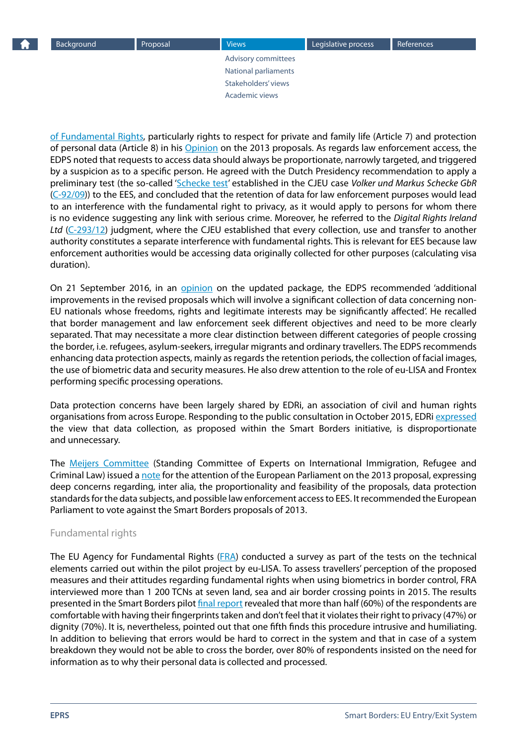[Advisory committees](#page-6-0) [National parliaments](#page-6-0) [Stakeholders' views](#page-6-0) [Academic views](#page-8-0)

[of Fundamental Rights,](http://eur-lex.europa.eu/LexUriServ/LexUriServ.do?uri=OJ:C:2010:083:0389:0403:en:PDF) particularly rights to respect for private and family life (Article 7) and protection of personal data (Article 8) in his [Opinion](https://secure.edps.europa.eu/EDPSWEB/webdav/site/mySite/shared/Documents/Consultation/Opinions/2013/13-07-18_Smart_borders_EN.pdf) on the 2013 proposals. As regards law enforcement access, the EDPS noted that requests to access data should always be proportionate, narrowly targeted, and triggered by a suspicion as to a specific person. He agreed with the Dutch Presidency recommendation to apply a preliminary test (the so-called '[Schecke test'](http://www.sieps.se/sites/default/files/2011_7epa.pdf) established in the CJEU case *Volker und Markus Schecke GbR* ([C-92/09\)](http://curia.europa.eu/juris/liste.jsf?language=en&num=C-92/09)) to the EES, and concluded that the retention of data for law enforcement purposes would lead to an interference with the fundamental right to privacy, as it would apply to persons for whom there is no evidence suggesting any link with serious crime. Moreover, he referred to the *Digital Rights Ireland Ltd* [\(C-293/12\)](http://curia.europa.eu/juris/liste.jsf?pro=&lgrec=en&nat=or&oqp=&dates=&lg=&language=en&jur=C%2CT%2CF&cit=none%252CC%252CCJ%252CR%252C2008E%252C%252C%252C%252C%252C%252C%252C%252C%252C%252Ctrue%252Cfalse%252Cfalse&num=C-293%252F12&td=%3BALL&pcs=Oor&avg=&page=1&mat=or&jge=&for=&cid=753229) judgment, where the CJEU established that every collection, use and transfer to another authority constitutes a separate interference with fundamental rights. This is relevant for EES because law enforcement authorities would be accessing data originally collected for other purposes (calculating visa duration).

On 21 September 2016, in an [opinion](http://eur-lex.europa.eu/legal-content/EN/TXT/?uri=OJ:C:2016:463:TOC) on the updated package, the EDPS recommended 'additional improvements in the revised proposals which will involve a significant collection of data concerning non-EU nationals whose freedoms, rights and legitimate interests may be significantly affected'. He recalled that border management and law enforcement seek different objectives and need to be more clearly separated. That may necessitate a more clear distinction between different categories of people crossing the border, i.e. refugees, asylum-seekers, irregular migrants and ordinary travellers. The EDPS recommends enhancing data protection aspects, mainly as regards the retention periods, the collection of facial images, the use of biometric data and security measures. He also drew attention to the role of eu-LISA and Frontex performing specific processing operations.

Data protection concerns have been largely shared by EDRi, an association of civil and human rights organisations from across Europe. Responding to the public consultation in October 2015, EDRi [expressed](https://edri.org/smart-borders-package-unproportionate-unnecessary-data-collection/) the view that data collection, as proposed within the Smart Borders initiative, is disproportionate and unnecessary.

The [Meijers Committee](http://www.commissie-meijers.nl/en) (Standing Committee of Experts on International Immigration, Refugee and Criminal Law) issued a [note](http://www.statewatch.org/news/2013/may/eu-meijers-committee-smart-borders.pdf) for the attention of the European Parliament on the 2013 proposal, expressing deep concerns regarding, inter alia, the proportionality and feasibility of the proposals, data protection standards for the data subjects, and possible law enforcement access to EES. It recommended the European Parliament to vote against the Smart Borders proposals of 2013.

#### Fundamental rights

The EU Agency for Fundamental Rights [\(FRA](http://fra.europa.eu/en)) conducted a survey as part of the tests on the technical elements carried out within the pilot project by eu-LISA. To assess travellers' perception of the proposed measures and their attitudes regarding fundamental rights when using biometrics in border control, FRA interviewed more than 1 200 TCNs at seven land, sea and air border crossing points in 2015. The results presented in the Smart Borders pilot [final report](http://www.eulisa.europa.eu/Publications/Reports/Smart Borders - Technical Report.pdf) revealed that more than half (60%) of the respondents are comfortable with having their fingerprints taken and don't feel that it violates their right to privacy (47%) or dignity (70%). It is, nevertheless, pointed out that one fifth finds this procedure intrusive and humiliating. In addition to believing that errors would be hard to correct in the system and that in case of a system breakdown they would not be able to cross the border, over 80% of respondents insisted on the need for information as to why their personal data is collected and processed.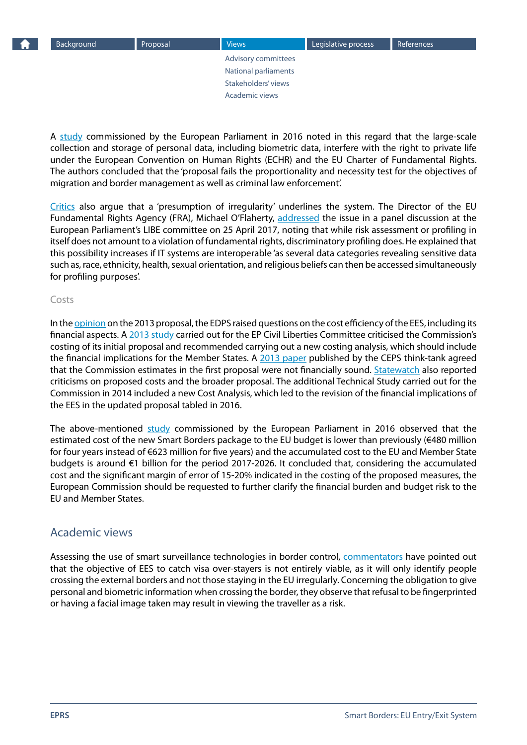[Advisory committees](#page-6-0) [National parliaments](#page-6-0) [Stakeholders' views](#page-6-0) Academic views

<span id="page-8-0"></span>A [study](http://www.europarl.europa.eu/RegData/etudes/STUD/2016/571381/IPOL_STU%282016%29571381_EN.pdf) commissioned by the European Parliament in 2016 noted in this regard that the large-scale collection and storage of personal data, including biometric data, interfere with the right to private life under the European Convention on Human Rights (ECHR) and the EU Charter of Fundamental Rights. The authors concluded that the 'proposal fails the proportionality and necessity test for the objectives of migration and border management as well as criminal law enforcement'.

[Critics](http://www.ips-journal.eu/topics/european-union/article/show/borderline-intrusive-1902/) also argue that a 'presumption of irregularity' underlines the system. The Director of the EU Fundamental Rights Agency (FRA), Michael O'Flaherty, [addressed](http://fra.europa.eu/en/speech/2017/fundamental-rights-and-interoperability-eu-information-systems) the issue in a panel discussion at the European Parliament's LIBE committee on 25 April 2017, noting that while risk assessment or profiling in itself does not amount to a violation of fundamental rights, discriminatory profiling does. He explained that this possibility increases if IT systems are interoperable 'as several data categories revealing sensitive data such as, race, ethnicity, health, sexual orientation, and religious beliefs can then be accessed simultaneously for profiling purposes'.

#### Costs

In the **opinion** on the 2013 proposal, the EDPS raised questions on the cost efficiency of the EES, including its financial aspects. A [2013 study](http://www.europarl.europa.eu/RegData/etudes/etudes/join/2013/493026/IPOL-LIBE_ET%282013%29493026_EN.pdf) carried out for the EP Civil Liberties Committee criticised the Commission's costing of its initial proposal and recommended carrying out a new costing analysis, which should include the financial implications for the Member States. A [2013 paper](https://www.ceps.eu/system/files/No 6 EU Borders and their Controls revised.pdf) published by the CEPS think-tank agreed that the Commission estimates in the first proposal were not financially sound. **[Statewatch](http://www.statewatch.org/analyses/no-253-smart-borders.pdf)** also reported criticisms on proposed costs and the broader proposal. The additional Technical Study carried out for the Commission in 2014 included a new Cost Analysis, which led to the revision of the financial implications of the EES in the updated proposal tabled in 2016.

The above-mentioned [study](http://www.europarl.europa.eu/RegData/etudes/STUD/2016/571381/IPOL_STU%282016%29571381_EN.pdf) commissioned by the European Parliament in 2016 observed that the estimated cost of the new Smart Borders package to the EU budget is lower than previously (€480 million for four years instead of €623 million for five years) and the accumulated cost to the EU and Member State budgets is around €1 billion for the period 2017-2026. It concluded that, considering the accumulated cost and the significant margin of error of 15-20% indicated in the costing of the proposed measures, the European Commission should be requested to further clarify the financial burden and budget risk to the EU and Member States.

#### Academic views

Assessing the use of smart surveillance technologies in border control, [commentators](http://ejlt.org/article/view/230/378) have pointed out that the objective of EES to catch visa over-stayers is not entirely viable, as it will only identify people crossing the external borders and not those staying in the EU irregularly. Concerning the obligation to give personal and biometric information when crossing the border, they observe that refusal to be fingerprinted or having a facial image taken may result in viewing the traveller as a risk.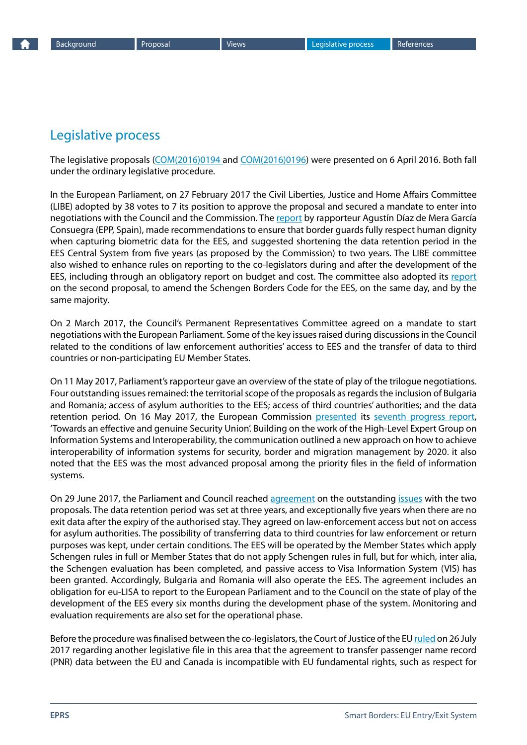# <span id="page-9-0"></span>Legislative process

The legislative proposals [\(COM\(2016\)0194](http://eur-lex.europa.eu/legal-content/EN/TXT/?uri=CELEX%3A52016PC0194) and [COM\(2016\)0196\)](http://eur-lex.europa.eu/legal-content/EN/ALL/?uri=COM%3A2016%3A0196%3AFIN) were presented on 6 April 2016. Both fall under the ordinary legislative procedure.

In the European Parliament, on 27 February 2017 the Civil Liberties, Justice and Home Affairs Committee (LIBE) adopted by 38 votes to 7 its position to approve the proposal and secured a mandate to enter into negotiations with the Council and the Commission. The [report](http://www.europarl.europa.eu/sides/getDoc.do?type=REPORT&mode=XML&reference=A8-2017-0057&language=EN) by rapporteur Agustín Díaz de Mera García Consuegra (EPP, Spain), made recommendations to ensure that border guards fully respect human dignity when capturing biometric data for the EES, and suggested shortening the data retention period in the EES Central System from five years (as proposed by the Commission) to two years. The LIBE committee also wished to enhance rules on reporting to the co-legislators during and after the development of the EES, including through an obligatory report on budget and cost. The committee also adopted its [report](http://www.europarl.europa.eu/sides/getDoc.do?type=REPORT&mode=XML&reference=A8-2017-0059&language=EN#title4) on the second proposal, to amend the Schengen Borders Code for the EES, on the same day, and by the same majority.

On 2 March 2017, the Council's Permanent Representatives Committee agreed on a mandate to start negotiations with the European Parliament. Some of the key issues raised during discussions in the Council related to the conditions of law enforcement authorities' access to EES and the transfer of data to third countries or non-participating EU Member States.

On 11 May 2017, Parliament's rapporteur gave an overview of the state of play of the trilogue negotiations. Four outstanding issues remained: the territorial scope of the proposals as regards the inclusion of Bulgaria and Romania; access of asylum authorities to the EES; access of third countries' authorities; and the data retention period. On 16 May 2017, the European Commission [presented](http://europa.eu/rapid/press-release_IP-17-1303_en.htm) its [seventh progress report](https://ec.europa.eu/home-affairs/sites/homeaffairs/files/what-we-do/policies/european-agenda-security/20170516_seventh_progress_report_towards_an_effective_and_genuine_security_union_en.pdf), 'Towards an effective and genuine Security Union'. Building on the work of the High-Level Expert Group on Information Systems and Interoperability, the communication outlined a new approach on how to achieve interoperability of information systems for security, border and migration management by 2020. it also noted that the EES was the most advanced proposal among the priority files in the field of information systems.

On 29 June 2017, the Parliament and Council reached [agreement](http://www.europarl.europa.eu/news/en/press-room/20170627IPR78409/border-control-political-agreement-on-new-entry-exit-system) on the outstanding [issues](http://www.statewatch.org/news/2017/jul/eu-council-ees-10823-17.pdf) with the two proposals. The data retention period was set at three years, and exceptionally five years when there are no exit data after the expiry of the authorised stay. They agreed on law-enforcement access but not on access for asylum authorities. The possibility of transferring data to third countries for law enforcement or return purposes was kept, under certain conditions. The EES will be operated by the Member States which apply Schengen rules in full or Member States that do not apply Schengen rules in full, but for which, inter alia, the Schengen evaluation has been completed, and passive access to Visa Information System (VIS) has been granted. Accordingly, Bulgaria and Romania will also operate the EES. The agreement includes an obligation for eu-LISA to report to the European Parliament and to the Council on the state of play of the development of the EES every six months during the development phase of the system. Monitoring and evaluation requirements are also set for the operational phase.

Before the procedure was finalised between the co-legislators, the Court of Justice of the EU [ruled](https://curia.europa.eu/jcms/upload/docs/application/pdf/2017-07/cp170084en.pdf) on 26 July 2017 regarding another legislative file in this area that the agreement to transfer passenger name record (PNR) data between the EU and Canada is incompatible with EU fundamental rights, such as respect for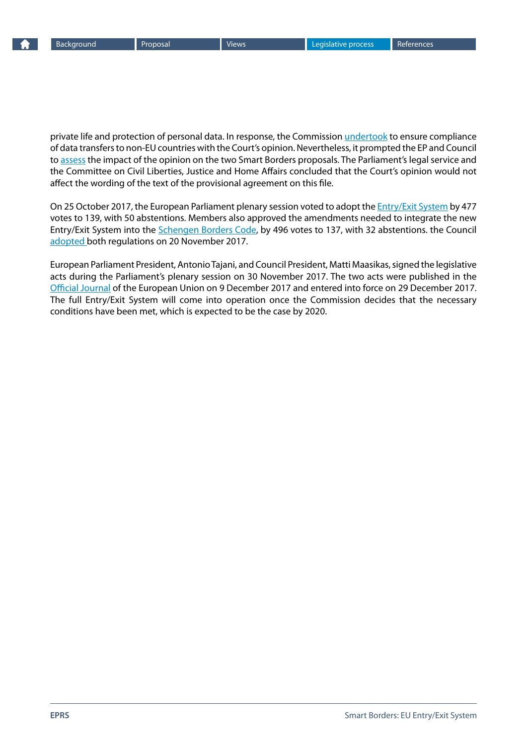<span id="page-10-0"></span>

private life and protection of personal data. In response, the Commission [undertook](http://europa.eu/rapid/press-release_STATEMENT-17-2105_en.htm) to ensure compliance of data transfers to non-EU countries with the Court's opinion. Nevertheless, it prompted the EP and Council to [assess](http://www.statewatch.org/news/2017/sep/cjeu-pnr-ees.htm) the impact of the opinion on the two Smart Borders proposals. The Parliament's legal service and the Committee on Civil Liberties, Justice and Home Affairs concluded that the Court's opinion would not affect the wording of the text of the provisional agreement on this file.

On 25 October 2017, the European Parliament plenary session voted to adopt the **Entry/Exit System** by 477 votes to 139, with 50 abstentions. Members also approved the amendments needed to integrate the new Entry/Exit System into the [Schengen Borders Code](http://www.europarl.europa.eu/sides/getDoc.do?pubRef=-//EP//TEXT+TA+P8-TA-2017-0412+0+DOC+XML+V0//EN&language=EN), by 496 votes to 137, with 32 abstentions. the Council [adopted](http://www.consilium.europa.eu/en/press/press-releases/2017/11/20/entry-exit-system-final-adoption-by-the-council/) both regulations on 20 November 2017.

European Parliament President, Antonio Tajani, and Council President, Matti Maasikas, signed the legislative acts during the Parliament's plenary session on 30 November 2017. The two acts were published in the [Official Journal](http://eur-lex.europa.eu/legal-content/EN/TXT/?uri=OJ:L:2017:327:TOC) of the European Union on 9 December 2017 and entered into force on 29 December 2017. The full Entry/Exit System will come into operation once the Commission decides that the necessary conditions have been met, which is expected to be the case by 2020.